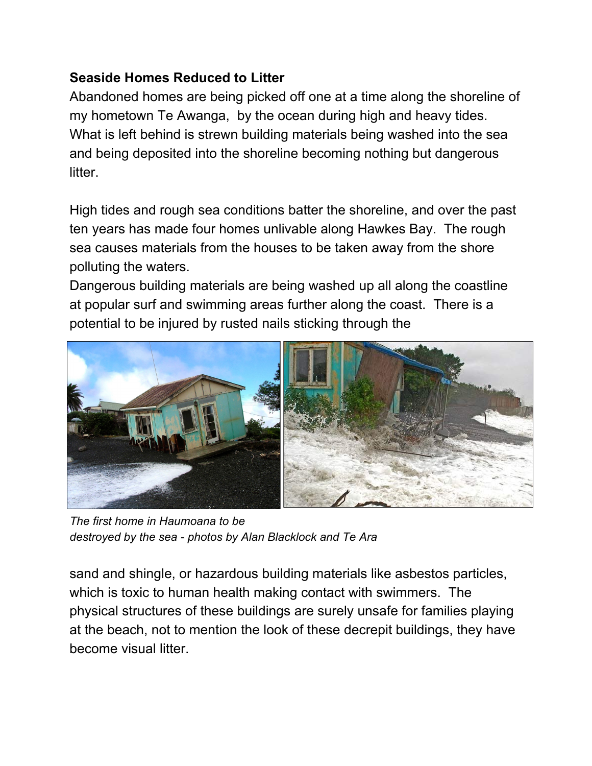## **Seaside Homes Reduced to Litter**

Abandoned homes are being picked off one at a time along the shoreline of my hometown Te Awanga, by the ocean during high and heavy tides. What is left behind is strewn building materials being washed into the sea and being deposited into the shoreline becoming nothing but dangerous litter.

High tides and rough sea conditions batter the shoreline, and over the past ten years has made four homes unlivable along Hawkes Bay. The rough sea causes materials from the houses to be taken away from the shore polluting the waters.

Dangerous building materials are being washed up all along the coastline at popular surf and swimming areas further along the coast. There is a potential to be injured by rusted nails sticking through the



*The first home in Haumoana to be destroyed by the sea - photos by Alan Blacklock and Te Ara*

sand and shingle, or hazardous building materials like asbestos particles, which is toxic to human health making contact with swimmers. The physical structures of these buildings are surely unsafe for families playing at the beach, not to mention the look of these decrepit buildings, they have become visual litter.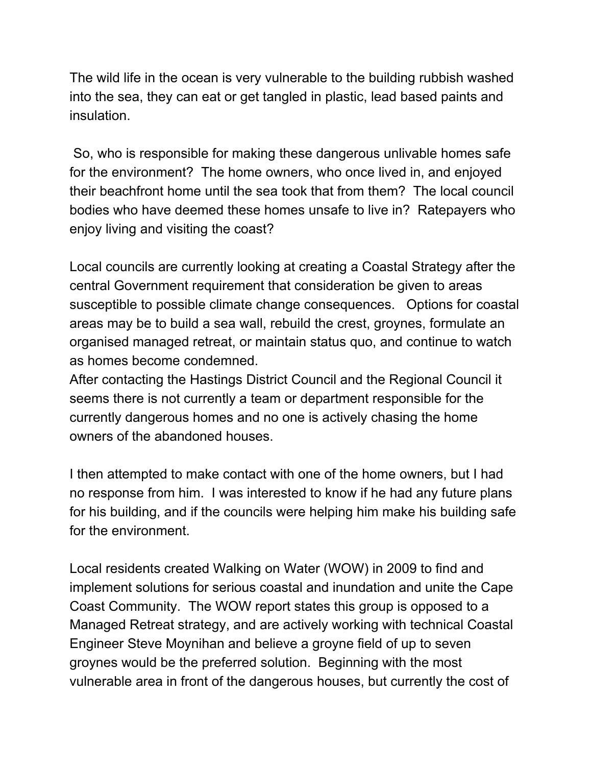The wild life in the ocean is very vulnerable to the building rubbish washed into the sea, they can eat or get tangled in plastic, lead based paints and insulation.

So, who is responsible for making these dangerous unlivable homes safe for the environment? The home owners, who once lived in, and enjoyed their beachfront home until the sea took that from them? The local council bodies who have deemed these homes unsafe to live in? Ratepayers who enjoy living and visiting the coast?

Local councils are currently looking at creating a Coastal Strategy after the central Government requirement that consideration be given to areas susceptible to possible climate change consequences. Options for coastal areas may be to build a sea wall, rebuild the crest, groynes, formulate an organised managed retreat, or maintain status quo, and continue to watch as homes become condemned.

After contacting the Hastings District Council and the Regional Council it seems there is not currently a team or department responsible for the currently dangerous homes and no one is actively chasing the home owners of the abandoned houses.

I then attempted to make contact with one of the home owners, but I had no response from him. I was interested to know if he had any future plans for his building, and if the councils were helping him make his building safe for the environment.

Local residents created Walking on Water (WOW) in 2009 to find and implement solutions for serious coastal and inundation and unite the Cape Coast Community. The WOW report states this group is opposed to a Managed Retreat strategy, and are actively working with technical Coastal Engineer Steve Moynihan and believe a groyne field of up to seven groynes would be the preferred solution. Beginning with the most vulnerable area in front of the dangerous houses, but currently the cost of